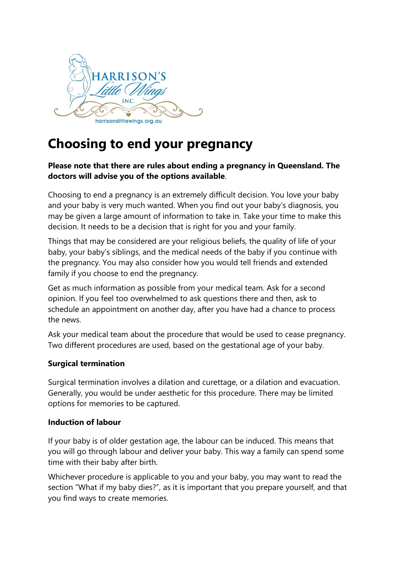

# **Choosing to end your pregnancy**

## **Please note that there are rules about ending a pregnancy in Queensland. The doctors will advise you of the options available**.

Choosing to end a pregnancy is an extremely difficult decision. You love your baby and your baby is very much wanted. When you find out your baby's diagnosis, you may be given a large amount of information to take in. Take your time to make this decision. It needs to be a decision that is right for you and your family.

Things that may be considered are your religious beliefs, the quality of life of your baby, your baby's siblings, and the medical needs of the baby if you continue with the pregnancy. You may also consider how you would tell friends and extended family if you choose to end the pregnancy.

Get as much information as possible from your medical team. Ask for a second opinion. If you feel too overwhelmed to ask questions there and then, ask to schedule an appointment on another day, after you have had a chance to process the news.

Ask your medical team about the procedure that would be used to cease pregnancy. Two different procedures are used, based on the gestational age of your baby.

### **Surgical termination**

Surgical termination involves a dilation and curettage, or a dilation and evacuation. Generally, you would be under aesthetic for this procedure. There may be limited options for memories to be captured.

#### **Induction of labour**

If your baby is of older gestation age, the labour can be induced. This means that you will go through labour and deliver your baby. This way a family can spend some time with their baby after birth.

Whichever procedure is applicable to you and your baby, you may want to read the section "What if my baby dies?", as it is important that you prepare yourself, and that you find ways to create memories.